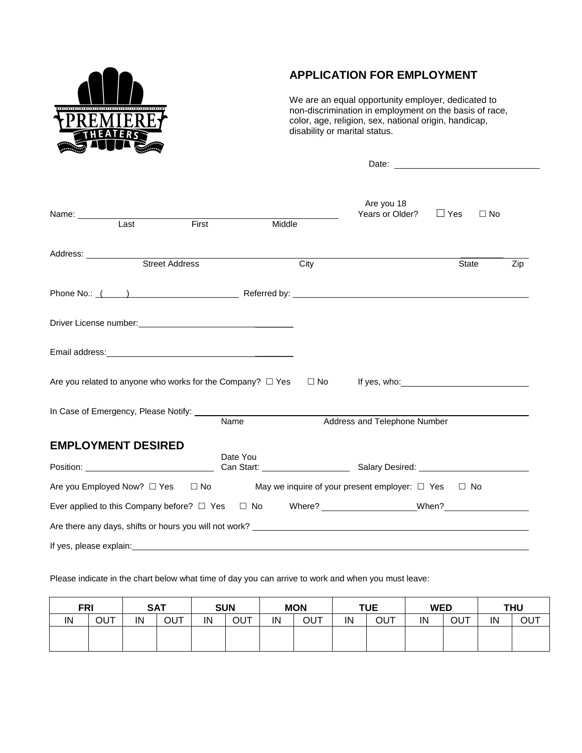

# **APPLICATION FOR EMPLOYMENT**

We are an equal opportunity employer, dedicated to non-discrimination in employment on the basis of race, color, age, religion, sex, national origin, handicap, disability or marital status.

Date:

| Last                                                                                                                 | First |          | Middle | Are you 18<br>Years or Older? $\Box$ Yes |       | $\Box$ No |
|----------------------------------------------------------------------------------------------------------------------|-------|----------|--------|------------------------------------------|-------|-----------|
| Address:<br>Street Address                                                                                           |       |          |        |                                          |       |           |
|                                                                                                                      |       |          | City   |                                          | State | Zip       |
|                                                                                                                      |       |          |        |                                          |       |           |
|                                                                                                                      |       |          |        |                                          |       |           |
|                                                                                                                      |       |          |        |                                          |       |           |
| Are you related to anyone who works for the Company? $\Box$ Yes $\Box$ No If yes, who:                               |       |          |        |                                          |       |           |
| In Case of Emergency, Please Notify: Name                                                                            |       |          |        | Address and Telephone Number             |       |           |
| <b>EMPLOYMENT DESIRED</b>                                                                                            |       |          |        |                                          |       |           |
|                                                                                                                      |       | Date You |        |                                          |       |           |
| Are you Employed Now? $\square$ Yes $\square$ No May we inquire of your present employer: $\square$ Yes $\square$ No |       |          |        |                                          |       |           |
| Ever applied to this Company before? □ Yes □ No Where? _______________________When? _______________                  |       |          |        |                                          |       |           |
|                                                                                                                      |       |          |        |                                          |       |           |
| If yes, please explain:                                                                                              |       |          |        |                                          |       |           |

Please indicate in the chart below what time of day you can arrive to work and when you must leave:

| <b>FRI</b> |     |    | <b>SAT</b> | <b>SUN</b> |     | <b>MON</b> |     | <b>TUE</b> |     | <b>WED</b> |     | <b>THU</b> |     |
|------------|-----|----|------------|------------|-----|------------|-----|------------|-----|------------|-----|------------|-----|
| IN         | OUT | IN | OUT        | IN         | OUT | IN         | OUT | IN         | OUT | IN         | OUT | IN         | ΟUΤ |
|            |     |    |            |            |     |            |     |            |     |            |     |            |     |
|            |     |    |            |            |     |            |     |            |     |            |     |            |     |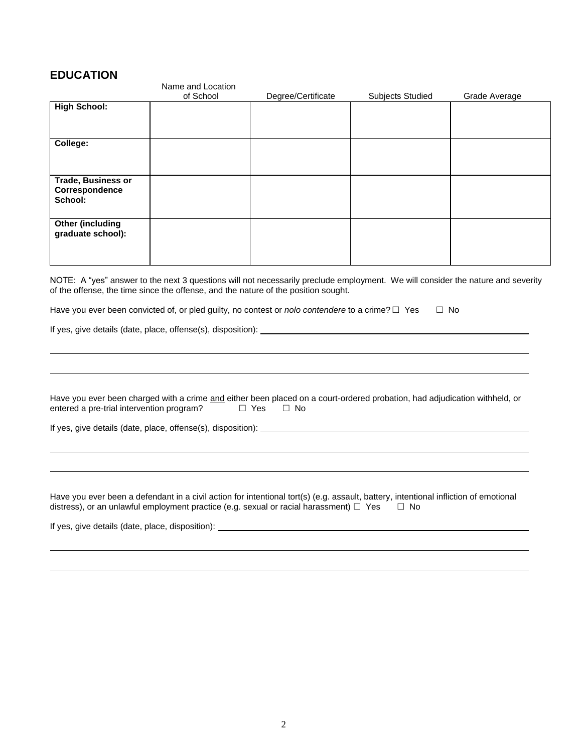#### **EDUCATION**

|                                                        | Name and Location |                    |                         |               |
|--------------------------------------------------------|-------------------|--------------------|-------------------------|---------------|
|                                                        | of School         | Degree/Certificate | <b>Subjects Studied</b> | Grade Average |
| <b>High School:</b>                                    |                   |                    |                         |               |
| College:                                               |                   |                    |                         |               |
| <b>Trade, Business or</b><br>Correspondence<br>School: |                   |                    |                         |               |
| Other (including<br>graduate school):                  |                   |                    |                         |               |

NOTE: A "yes" answer to the next 3 questions will not necessarily preclude employment. We will consider the nature and severity of the offense, the time since the offense, and the nature of the position sought.

Have you ever been convicted of, or pled guilty, no contest or *nolo contendere* to a crime?  $\Box$  Yes  $\Box$  No

If yes, give details (date, place, offense(s), disposition):

Have you ever been charged with a crime and either been placed on a court-ordered probation, had adjudication withheld, or entered a pre-trial intervention program?  $\square$  Yes  $\square$  No entered a pre-trial intervention program?

If yes, give details (date, place, offense(s), disposition):

Have you ever been a defendant in a civil action for intentional tort(s) (e.g. assault, battery, intentional infliction of emotional distress), or an unlawful employment practice (e.g. sexual or racial harassment)  $\Box$  Yes  $\Box$  No

If yes, give details (date, place, disposition):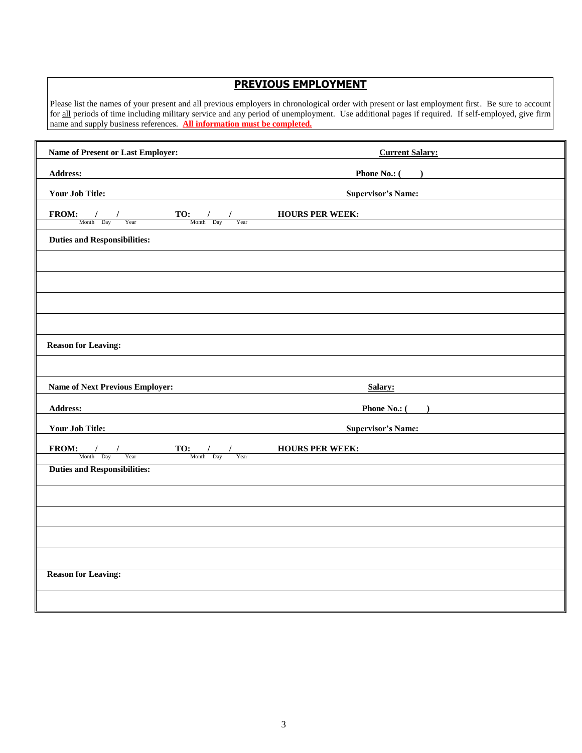### **PREVIOUS EMPLOYMENT**

Please list the names of your present and all previous employers in chronological order with present or last employment first. Be sure to account for all periods of time including military service and any period of unemployment. Use additional pages if required. If self-employed, give firm name and supply business references. **All information must be completed.**

| Name of Present or Last Employer:                                                                                                                                                                                                                                                                                                                                                                                                                                                                    | <b>Current Salary:</b>    |
|------------------------------------------------------------------------------------------------------------------------------------------------------------------------------------------------------------------------------------------------------------------------------------------------------------------------------------------------------------------------------------------------------------------------------------------------------------------------------------------------------|---------------------------|
| Address:                                                                                                                                                                                                                                                                                                                                                                                                                                                                                             | <b>Phone No.:</b> $($     |
| <b>Your Job Title:</b>                                                                                                                                                                                                                                                                                                                                                                                                                                                                               | <b>Supervisor's Name:</b> |
| TO: / /<br>Month Day Year<br>$FROM:$ /<br>$\begin{array}{c}\n\sqrt{1 - \frac{1}{2}} \\ \frac{1}{2} \arccos \left( \frac{1}{2} \right) \\ \frac{1}{2} \arccos \left( \frac{1}{2} \right) \\ \frac{1}{2} \arccos \left( \frac{1}{2} \right) \\ \frac{1}{2} \arccos \left( \frac{1}{2} \right) \\ \frac{1}{2} \arccos \left( \frac{1}{2} \right) \\ \frac{1}{2} \arccos \left( \frac{1}{2} \right) \\ \frac{1}{2} \arccos \left( \frac{1}{2} \right) \\ \frac{1}{2} \arccos \left( \frac{1}{2} \right)$ | <b>HOURS PER WEEK:</b>    |
| Month Day                                                                                                                                                                                                                                                                                                                                                                                                                                                                                            |                           |
| <b>Duties and Responsibilities:</b>                                                                                                                                                                                                                                                                                                                                                                                                                                                                  |                           |
|                                                                                                                                                                                                                                                                                                                                                                                                                                                                                                      |                           |
|                                                                                                                                                                                                                                                                                                                                                                                                                                                                                                      |                           |
|                                                                                                                                                                                                                                                                                                                                                                                                                                                                                                      |                           |
|                                                                                                                                                                                                                                                                                                                                                                                                                                                                                                      |                           |
| <b>Reason for Leaving:</b>                                                                                                                                                                                                                                                                                                                                                                                                                                                                           |                           |
|                                                                                                                                                                                                                                                                                                                                                                                                                                                                                                      |                           |
| <b>Name of Next Previous Employer:</b>                                                                                                                                                                                                                                                                                                                                                                                                                                                               | Salary:                   |
| <b>Address:</b>                                                                                                                                                                                                                                                                                                                                                                                                                                                                                      | Phone No.: ( )            |
| <b>Your Job Title:</b>                                                                                                                                                                                                                                                                                                                                                                                                                                                                               | <b>Supervisor's Name:</b> |
| <b>FROM:</b> / / <b>TO:</b> / /<br>Month Day Year <b>TO:</b> / / <i>Year Month Day</i> Year                                                                                                                                                                                                                                                                                                                                                                                                          | <b>HOURS PER WEEK:</b>    |
| <b>Duties and Responsibilities:</b>                                                                                                                                                                                                                                                                                                                                                                                                                                                                  |                           |
|                                                                                                                                                                                                                                                                                                                                                                                                                                                                                                      |                           |
|                                                                                                                                                                                                                                                                                                                                                                                                                                                                                                      |                           |
|                                                                                                                                                                                                                                                                                                                                                                                                                                                                                                      |                           |
|                                                                                                                                                                                                                                                                                                                                                                                                                                                                                                      |                           |
|                                                                                                                                                                                                                                                                                                                                                                                                                                                                                                      |                           |
| <b>Reason for Leaving:</b>                                                                                                                                                                                                                                                                                                                                                                                                                                                                           |                           |
|                                                                                                                                                                                                                                                                                                                                                                                                                                                                                                      |                           |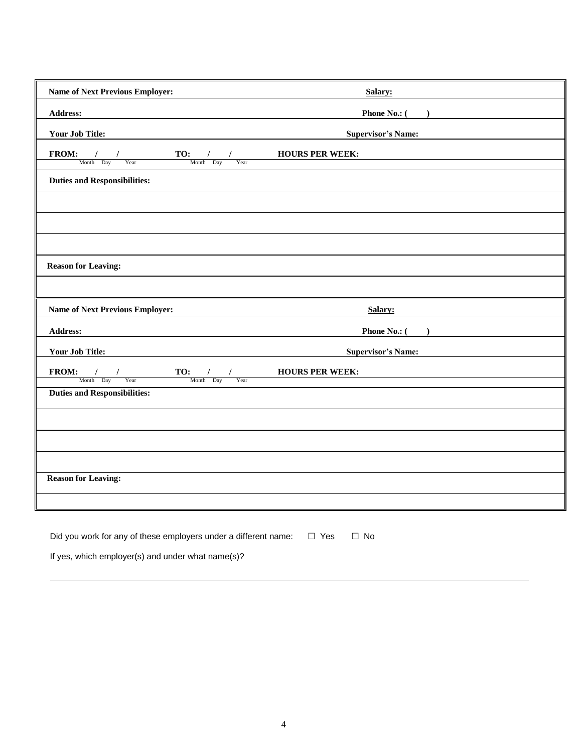| <b>Name of Next Previous Employer:</b>                                                                                                                                                                                                                                                                                                                                                                                                                                      | Salary:                   |
|-----------------------------------------------------------------------------------------------------------------------------------------------------------------------------------------------------------------------------------------------------------------------------------------------------------------------------------------------------------------------------------------------------------------------------------------------------------------------------|---------------------------|
| <b>Address:</b>                                                                                                                                                                                                                                                                                                                                                                                                                                                             | <b>Phone No.:</b> $($     |
| <b>Your Job Title:</b>                                                                                                                                                                                                                                                                                                                                                                                                                                                      | <b>Supervisor's Name:</b> |
| $\frac{1}{\sqrt{1-\frac{1}{1-\frac{1}{1-\frac{1}{1-\frac{1}{1-\frac{1}{1-\frac{1}{1-\frac{1}{1-\frac{1}{1-\frac{1}{1-\frac{1}{1-\frac{1}{1-\frac{1}{1-\frac{1}{1-\frac{1}{1-\frac{1}{1-\frac{1}{1-\frac{1}{1-\frac{1}{1-\frac{1}{1-\frac{1}{1-\frac{1}{1-\frac{1}{1-\frac{1}{1-\frac{1}{1-\frac{1}{1-\frac{1}{1-\frac{1}{1-\frac{1}{1-\frac{1}{1-\frac{1}{1-\frac{1}{1-\frac{1}{1-\frac{1}{1-\frac{1}{1-\frac{1}{1-\$<br>FROM:<br>$\frac{1}{2}$<br>$\frac{1}{\sqrt{1-x^2}}$ | <b>HOURS PER WEEK:</b>    |
| $\frac{1}{2}$ Month Day                                                                                                                                                                                                                                                                                                                                                                                                                                                     |                           |
| <b>Duties and Responsibilities:</b>                                                                                                                                                                                                                                                                                                                                                                                                                                         |                           |
|                                                                                                                                                                                                                                                                                                                                                                                                                                                                             |                           |
|                                                                                                                                                                                                                                                                                                                                                                                                                                                                             |                           |
|                                                                                                                                                                                                                                                                                                                                                                                                                                                                             |                           |
| <b>Reason for Leaving:</b>                                                                                                                                                                                                                                                                                                                                                                                                                                                  |                           |
|                                                                                                                                                                                                                                                                                                                                                                                                                                                                             |                           |
| <b>Name of Next Previous Employer:</b>                                                                                                                                                                                                                                                                                                                                                                                                                                      | Salary:                   |
| Address:                                                                                                                                                                                                                                                                                                                                                                                                                                                                    | <b>Phone No.:</b> $($     |
| <b>Your Job Title:</b>                                                                                                                                                                                                                                                                                                                                                                                                                                                      | <b>Supervisor's Name:</b> |
| $\begin{tabular}{c c c c c} \hline \textbf{FROM:} & / & / \\ \hline \textbf{Month} & \textbf{Day} & \textbf{Year} & \textbf{NOTE} \\ \hline \textbf{Month} & \textbf{Day} & \textbf{Year} & \textbf{Year} \\ \hline \end{tabular} \begin{tabular}{c c c} \hline \textbf{I} & \textbf{OURS PER WEEK:} \\ \hline \textbf{Month} & \textbf{Day} & \textbf{Year} \\ \hline \end{tabular}$                                                                                       |                           |
|                                                                                                                                                                                                                                                                                                                                                                                                                                                                             |                           |
| <b>Duties and Responsibilities:</b>                                                                                                                                                                                                                                                                                                                                                                                                                                         |                           |
|                                                                                                                                                                                                                                                                                                                                                                                                                                                                             |                           |
|                                                                                                                                                                                                                                                                                                                                                                                                                                                                             |                           |
|                                                                                                                                                                                                                                                                                                                                                                                                                                                                             |                           |
| <b>Reason for Leaving:</b>                                                                                                                                                                                                                                                                                                                                                                                                                                                  |                           |
|                                                                                                                                                                                                                                                                                                                                                                                                                                                                             |                           |
| Did you work for any of these employers under a different name: $\square$ Yes                                                                                                                                                                                                                                                                                                                                                                                               | $\Box$ No                 |
|                                                                                                                                                                                                                                                                                                                                                                                                                                                                             |                           |

If yes, which employer(s) and under what name(s)?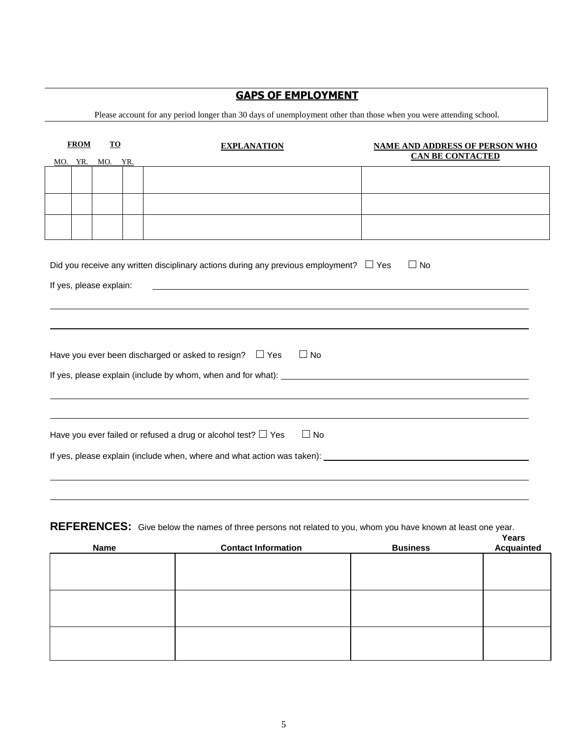## **GAPS OF EMPLOYMENT**

Please account for any period longer than 30 days of unemployment other than those when you were attending school.

|                                                                                                                                                                                                                                | <b>FROM</b>                                                                                                                                                                                                                                                | TO      |  | <b>EXPLANATION</b> |  | <b>NAME AND ADDRESS OF PERSON WHO</b><br><b>CAN BE CONTACTED</b> |  |  |
|--------------------------------------------------------------------------------------------------------------------------------------------------------------------------------------------------------------------------------|------------------------------------------------------------------------------------------------------------------------------------------------------------------------------------------------------------------------------------------------------------|---------|--|--------------------|--|------------------------------------------------------------------|--|--|
| MO.                                                                                                                                                                                                                            | YR.                                                                                                                                                                                                                                                        | MO. YR. |  |                    |  |                                                                  |  |  |
|                                                                                                                                                                                                                                |                                                                                                                                                                                                                                                            |         |  |                    |  |                                                                  |  |  |
|                                                                                                                                                                                                                                |                                                                                                                                                                                                                                                            |         |  |                    |  |                                                                  |  |  |
|                                                                                                                                                                                                                                |                                                                                                                                                                                                                                                            |         |  |                    |  |                                                                  |  |  |
|                                                                                                                                                                                                                                | Did you receive any written disciplinary actions during any previous employment? $\square$ Yes<br>$\Box$ No<br>If yes, please explain:<br>and the control of the control of the control of the control of the control of the control of the control of the |         |  |                    |  |                                                                  |  |  |
|                                                                                                                                                                                                                                |                                                                                                                                                                                                                                                            |         |  |                    |  |                                                                  |  |  |
|                                                                                                                                                                                                                                |                                                                                                                                                                                                                                                            |         |  |                    |  |                                                                  |  |  |
|                                                                                                                                                                                                                                | $\Box$ No<br>Have you ever been discharged or asked to resign? $\square$ Yes                                                                                                                                                                               |         |  |                    |  |                                                                  |  |  |
|                                                                                                                                                                                                                                |                                                                                                                                                                                                                                                            |         |  |                    |  |                                                                  |  |  |
|                                                                                                                                                                                                                                |                                                                                                                                                                                                                                                            |         |  |                    |  |                                                                  |  |  |
| Have you ever failed or refused a drug or alcohol test? $\Box$ Yes<br>$\Box$ No                                                                                                                                                |                                                                                                                                                                                                                                                            |         |  |                    |  |                                                                  |  |  |
| If yes, please explain (include when, where and what action was taken): [16] The substitution of the state of the state of the state of the state of the state of the state of the state of the state of the state of the stat |                                                                                                                                                                                                                                                            |         |  |                    |  |                                                                  |  |  |
|                                                                                                                                                                                                                                |                                                                                                                                                                                                                                                            |         |  |                    |  |                                                                  |  |  |
|                                                                                                                                                                                                                                |                                                                                                                                                                                                                                                            |         |  |                    |  |                                                                  |  |  |

#### REFERENCES: Give below the names of three persons not related to you, whom you have known at least one year.

| <b>Name</b> | <b>Contact Information</b> | <b>Business</b> | Years<br>Acquainted |
|-------------|----------------------------|-----------------|---------------------|
|             |                            |                 |                     |
|             |                            |                 |                     |
|             |                            |                 |                     |
|             |                            |                 |                     |
|             |                            |                 |                     |
|             |                            |                 |                     |